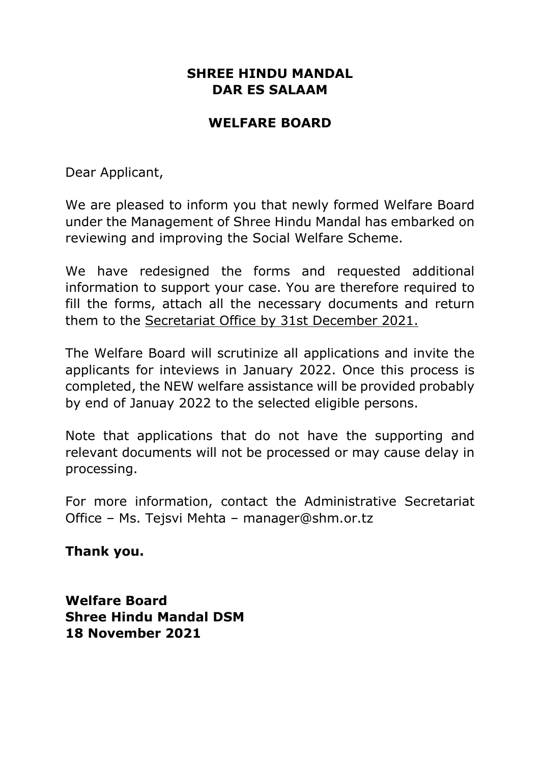# WELFARE BOARD

Dear Applicant,

We are pleased to inform you that newly formed Welfare Board under the Management of Shree Hindu Mandal has embarked on reviewing and improving the Social Welfare Scheme.

We have redesigned the forms and requested additional information to support your case. You are therefore required to fill the forms, attach all the necessary documents and return them to the Secretariat Office by 31st December 2021.

The Welfare Board will scrutinize all applications and invite the applicants for inteviews in January 2022. Once this process is completed, the NEW welfare assistance will be provided probably by end of Januay 2022 to the selected eligible persons.

Note that applications that do not have the supporting and relevant documents will not be processed or may cause delay in processing.

For more information, contact the Administrative Secretariat Office – Ms. Tejsvi Mehta – manager@shm.or.tz

Thank you.

Welfare Board Shree Hindu Mandal DSM 18 November 2021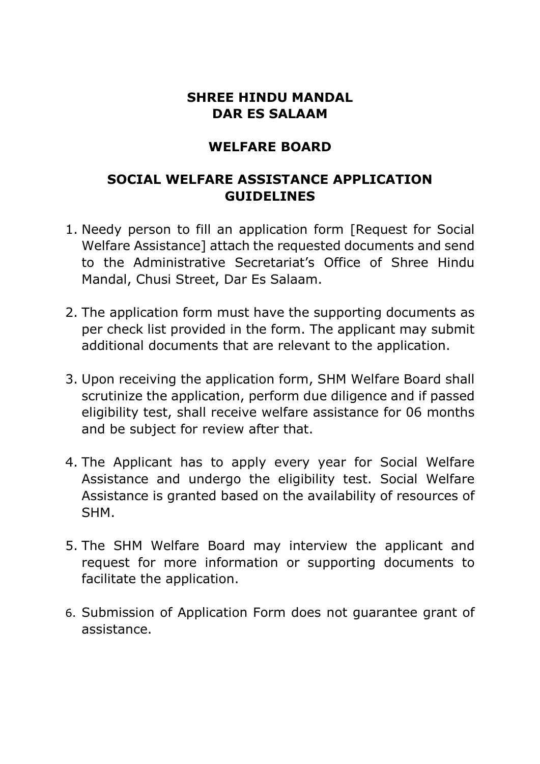## WELFARE BOARD

## SOCIAL WELFARE ASSISTANCE APPLICATION GUIDELINES

- 1. Needy person to fill an application form [Request for Social Welfare Assistance] attach the requested documents and send to the Administrative Secretariat's Office of Shree Hindu Mandal, Chusi Street, Dar Es Salaam.
- 2. The application form must have the supporting documents as per check list provided in the form. The applicant may submit additional documents that are relevant to the application.
- 3. Upon receiving the application form, SHM Welfare Board shall scrutinize the application, perform due diligence and if passed eligibility test, shall receive welfare assistance for 06 months and be subject for review after that.
- 4. The Applicant has to apply every year for Social Welfare Assistance and undergo the eligibility test. Social Welfare Assistance is granted based on the availability of resources of SHM.
- 5. The SHM Welfare Board may interview the applicant and request for more information or supporting documents to facilitate the application.
- 6. Submission of Application Form does not guarantee grant of assistance.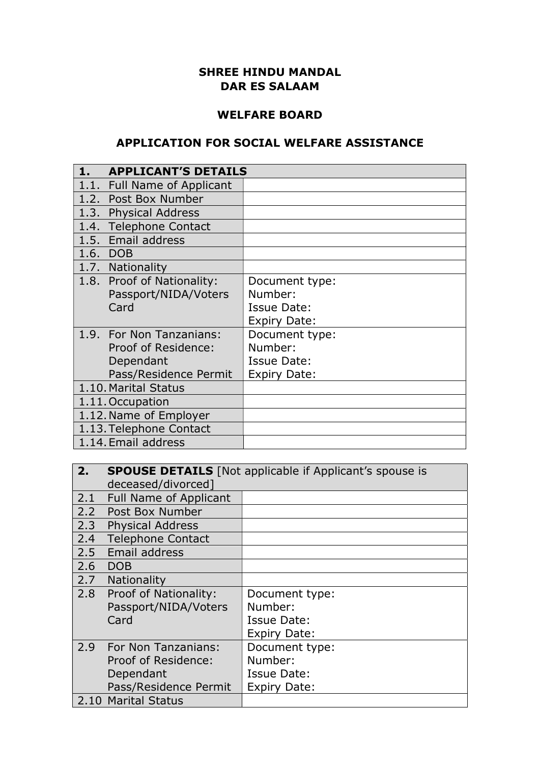#### WELFARE BOARD

### APPLICATION FOR SOCIAL WELFARE ASSISTANCE

|                         | <b>APPLICANT'S DETAILS</b>  |                     |  |
|-------------------------|-----------------------------|---------------------|--|
|                         | 1.1. Full Name of Applicant |                     |  |
|                         | 1.2. Post Box Number        |                     |  |
|                         | 1.3. Physical Address       |                     |  |
|                         | 1.4. Telephone Contact      |                     |  |
|                         | 1.5. Email address          |                     |  |
|                         | 1.6. DOB                    |                     |  |
|                         | 1.7. Nationality            |                     |  |
|                         | 1.8. Proof of Nationality:  | Document type:      |  |
|                         | Passport/NIDA/Voters        | Number:             |  |
|                         | Card                        | <b>Issue Date:</b>  |  |
|                         |                             | Expiry Date:        |  |
|                         | 1.9. For Non Tanzanians:    | Document type:      |  |
|                         | Proof of Residence:         | Number:             |  |
|                         | Dependant                   | <b>Issue Date:</b>  |  |
|                         | Pass/Residence Permit       | <b>Expiry Date:</b> |  |
| 1.10. Marital Status    |                             |                     |  |
| 1.11. Occupation        |                             |                     |  |
| 1.12. Name of Employer  |                             |                     |  |
| 1.13. Telephone Contact |                             |                     |  |
| 1.14. Email address     |                             |                     |  |

| 2.  | <b>SPOUSE DETAILS</b> [Not applicable if Applicant's spouse is |                     |  |  |
|-----|----------------------------------------------------------------|---------------------|--|--|
|     | deceased/divorced]                                             |                     |  |  |
| 2.1 | <b>Full Name of Applicant</b>                                  |                     |  |  |
|     | 2.2 Post Box Number                                            |                     |  |  |
| 2.3 | <b>Physical Address</b>                                        |                     |  |  |
| 2.4 | <b>Telephone Contact</b>                                       |                     |  |  |
|     | 2.5 Email address                                              |                     |  |  |
| 2.6 | <b>DOB</b>                                                     |                     |  |  |
| 2.7 | <b>Nationality</b>                                             |                     |  |  |
|     | 2.8 Proof of Nationality:                                      | Document type:      |  |  |
|     | Passport/NIDA/Voters                                           | Number:             |  |  |
|     | Card                                                           | Issue Date:         |  |  |
|     | <b>Expiry Date:</b>                                            |                     |  |  |
| 2.9 | <b>For Non Tanzanians:</b>                                     | Document type:      |  |  |
|     | Proof of Residence:                                            | Number:             |  |  |
|     | Dependant<br>Issue Date:                                       |                     |  |  |
|     | Pass/Residence Permit                                          | <b>Expiry Date:</b> |  |  |
|     | 2.10 Marital Status                                            |                     |  |  |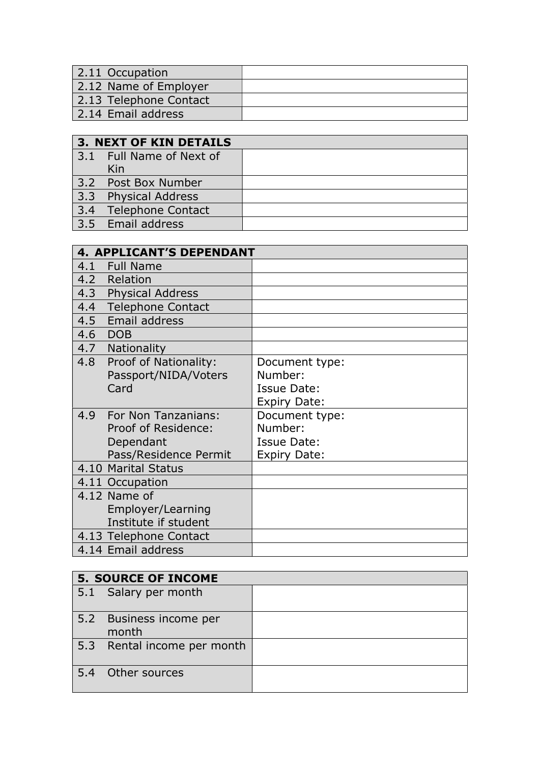| $\vert$ 2.11 Occupation |  |
|-------------------------|--|
| 2.12 Name of Employer   |  |
| 2.13 Telephone Contact  |  |
| 2.14 Email address      |  |

| <b>3. NEXT OF KIN DETAILS</b> |  |  |
|-------------------------------|--|--|
| 3.1 Full Name of Next of      |  |  |
| Kin                           |  |  |
| 3.2 Post Box Number           |  |  |
| 3.3 Physical Address          |  |  |
| 3.4 Telephone Contact         |  |  |
| 3.5 Email address             |  |  |

| <b>4. APPLICANT'S DEPENDANT</b> |                     |  |
|---------------------------------|---------------------|--|
| 4.1 Full Name                   |                     |  |
| 4.2 Relation                    |                     |  |
| 4.3 Physical Address            |                     |  |
| 4.4<br><b>Telephone Contact</b> |                     |  |
| 4.5 Email address               |                     |  |
| 4.6 DOB                         |                     |  |
| 4.7<br>Nationality              |                     |  |
| 4.8<br>Proof of Nationality:    | Document type:      |  |
| Passport/NIDA/Voters            | Number:             |  |
| Card                            | <b>Issue Date:</b>  |  |
|                                 | <b>Expiry Date:</b> |  |
| 4.9<br>For Non Tanzanians:      | Document type:      |  |
| Proof of Residence:             | Number:             |  |
| Dependant                       | <b>Issue Date:</b>  |  |
| Pass/Residence Permit           | <b>Expiry Date:</b> |  |
| 4.10 Marital Status             |                     |  |
| 4.11 Occupation                 |                     |  |
| 4.12 Name of                    |                     |  |
| Employer/Learning               |                     |  |
| Institute if student            |                     |  |
| 4.13 Telephone Contact          |                     |  |
| 4.14 Email address              |                     |  |

| <b>5. SOURCE OF INCOME</b>       |  |  |
|----------------------------------|--|--|
| 5.1 Salary per month             |  |  |
| 5.2 Business income per<br>month |  |  |
| 5.3 Rental income per month      |  |  |
| 5.4 Other sources                |  |  |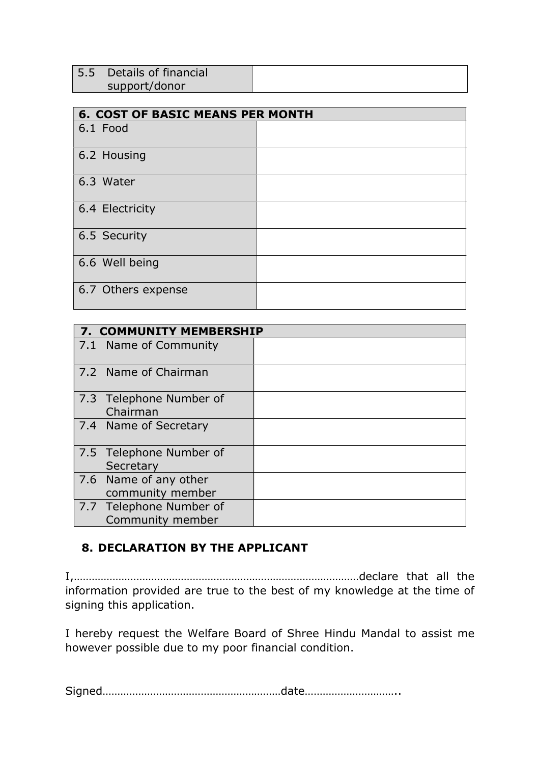| 5.5 Details of financial |  |
|--------------------------|--|
| support/donor            |  |

| <b>6. COST OF BASIC MEANS PER MONTH</b> |  |  |  |
|-----------------------------------------|--|--|--|
| 6.1 Food                                |  |  |  |
| 6.2 Housing                             |  |  |  |
| 6.3 Water                               |  |  |  |
| 6.4 Electricity                         |  |  |  |
| 6.5 Security                            |  |  |  |
| 6.6 Well being                          |  |  |  |
| 6.7 Others expense                      |  |  |  |

| 7. COMMUNITY MEMBERSHIP                   |  |  |
|-------------------------------------------|--|--|
| 7.1 Name of Community                     |  |  |
| 7.2 Name of Chairman                      |  |  |
| 7.3 Telephone Number of                   |  |  |
| Chairman                                  |  |  |
| 7.4 Name of Secretary                     |  |  |
| 7.5 Telephone Number of<br>Secretary      |  |  |
| 7.6 Name of any other<br>community member |  |  |
| 7.7 Telephone Number of                   |  |  |
| Community member                          |  |  |

### 8. DECLARATION BY THE APPLICANT

I,……………………………………………………………………………………declare that all the information provided are true to the best of my knowledge at the time of signing this application.

I hereby request the Welfare Board of Shree Hindu Mandal to assist me however possible due to my poor financial condition.

Signed……………………………………………………date…………………………..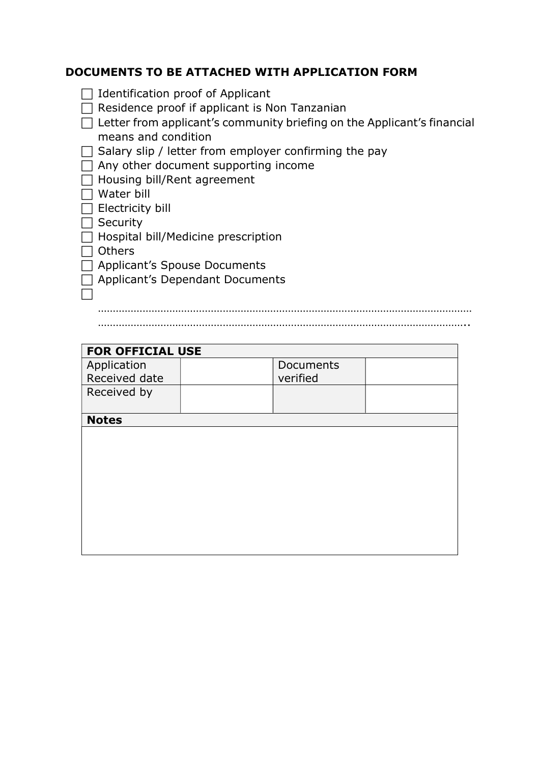### DOCUMENTS TO BE ATTACHED WITH APPLICATION FORM

| $\Box$ | $\Box$ Identification proof of Applicant<br>Residence proof if applicant is Non Tanzanian      |
|--------|------------------------------------------------------------------------------------------------|
|        | Letter from applicant's community briefing on the Applicant's financial<br>means and condition |
| $\Box$ | Salary slip / letter from employer confirming the pay                                          |
|        | Any other document supporting income                                                           |
|        | Housing bill/Rent agreement                                                                    |
|        | Water bill                                                                                     |
|        | Electricity bill                                                                               |
|        | Security                                                                                       |
|        | Hospital bill/Medicine prescription                                                            |
|        | <b>Others</b>                                                                                  |
|        | $\Box$ Applicant's Spouse Documents                                                            |
|        | $\Box$ Applicant's Dependant Documents                                                         |
|        |                                                                                                |
|        |                                                                                                |

……………………………………………………………………………………………………………..

| <b>FOR OFFICIAL USE</b> |  |           |  |  |
|-------------------------|--|-----------|--|--|
| Application             |  | Documents |  |  |
| Received date           |  | verified  |  |  |
| Received by             |  |           |  |  |
|                         |  |           |  |  |
| <b>Notes</b>            |  |           |  |  |
|                         |  |           |  |  |
|                         |  |           |  |  |
|                         |  |           |  |  |
|                         |  |           |  |  |
|                         |  |           |  |  |
|                         |  |           |  |  |
|                         |  |           |  |  |
|                         |  |           |  |  |
|                         |  |           |  |  |